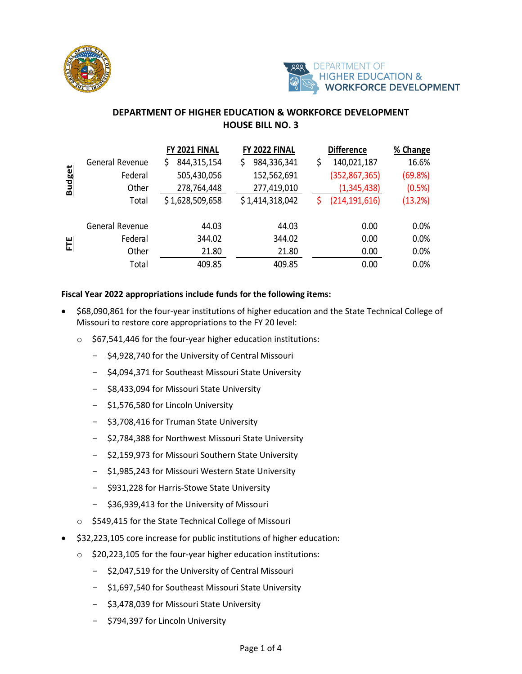



## **DEPARTMENT OF HIGHER EDUCATION & WORKFORCE DEVELOPMENT HOUSE BILL NO. 3**

|               |                 | FY 2021 FINAL    | FY 2022 FINAL     |    | <b>Difference</b> | % Change |
|---------------|-----------------|------------------|-------------------|----|-------------------|----------|
| <b>Budget</b> | General Revenue | 844,315,154<br>Ş | 984,336,341<br>\$ | \$ | 140,021,187       | 16.6%    |
|               | Federal         | 505,430,056      | 152,562,691       |    | (352, 867, 365)   | (69.8%)  |
|               | Other           | 278,764,448      | 277,419,010       |    | (1,345,438)       | (0.5%)   |
|               | Total           | \$1,628,509,658  | \$1,414,318,042   | S  | (214, 191, 616)   | (13.2%)  |
| E             | General Revenue | 44.03            | 44.03             |    | 0.00              | 0.0%     |
|               | Federal         | 344.02           | 344.02            |    | 0.00              | 0.0%     |
|               | Other           | 21.80            | 21.80             |    | 0.00              | 0.0%     |
|               | Total           | 409.85           | 409.85            |    | 0.00              | 0.0%     |

## **Fiscal Year 2022 appropriations include funds for the following items:**

- \$68,090,861 for the four-year institutions of higher education and the State Technical College of Missouri to restore core appropriations to the FY 20 level:
	- o \$67,541,446 for the four-year higher education institutions:
		- \$4,928,740 for the University of Central Missouri
		- \$4,094,371 for Southeast Missouri State University
		- \$8,433,094 for Missouri State University
		- \$1,576,580 for Lincoln University
		- \$3,708,416 for Truman State University
		- \$2,784,388 for Northwest Missouri State University
		- \$2,159,973 for Missouri Southern State University
		- \$1,985,243 for Missouri Western State University
		- \$931,228 for Harris-Stowe State University
		- \$36,939,413 for the University of Missouri
	- o \$549,415 for the State Technical College of Missouri
- \$32,223,105 core increase for public institutions of higher education:
	- o \$20,223,105 for the four-year higher education institutions:
		- \$2,047,519 for the University of Central Missouri
		- \$1,697,540 for Southeast Missouri State University
		- \$3,478,039 for Missouri State University
		- \$794,397 for Lincoln University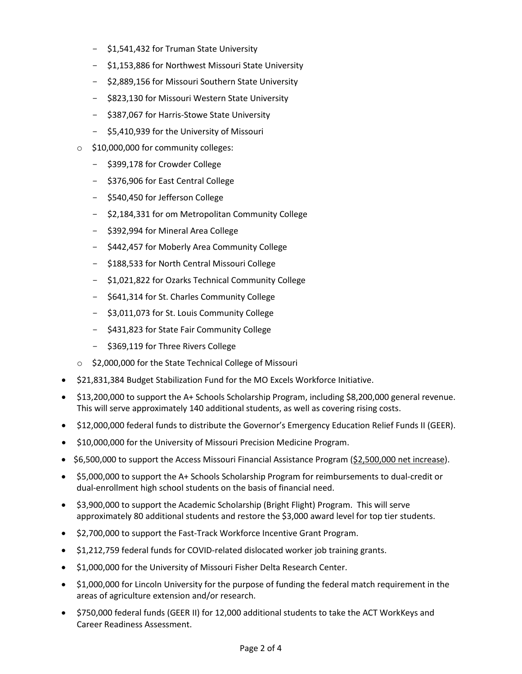- \$1,541,432 for Truman State University
- \$1,153,886 for Northwest Missouri State University
- \$2,889,156 for Missouri Southern State University
- \$823,130 for Missouri Western State University
- \$387,067 for Harris-Stowe State University
- \$5,410,939 for the University of Missouri
- o \$10,000,000 for community colleges:
	- \$399,178 for Crowder College
	- \$376,906 for East Central College
	- \$540,450 for Jefferson College
	- \$2,184,331 for om Metropolitan Community College
	- \$392,994 for Mineral Area College
	- \$442,457 for Moberly Area Community College
	- \$188,533 for North Central Missouri College
	- \$1,021,822 for Ozarks Technical Community College
	- \$641,314 for St. Charles Community College
	- \$3,011,073 for St. Louis Community College
	- \$431,823 for State Fair Community College
	- \$369,119 for Three Rivers College
- o \$2,000,000 for the State Technical College of Missouri
- \$21,831,384 Budget Stabilization Fund for the MO Excels Workforce Initiative.
- \$13,200,000 to support the A+ Schools Scholarship Program, including \$8,200,000 general revenue. This will serve approximately 140 additional students, as well as covering rising costs.
- \$12,000,000 federal funds to distribute the Governor's Emergency Education Relief Funds II (GEER).
- \$10,000,000 for the University of Missouri Precision Medicine Program.
- \$6,500,000 to support the Access Missouri Financial Assistance Program (\$2,500,000 net increase).
- \$5,000,000 to support the A+ Schools Scholarship Program for reimbursements to dual-credit or dual-enrollment high school students on the basis of financial need.
- \$3,900,000 to support the Academic Scholarship (Bright Flight) Program. This will serve approximately 80 additional students and restore the \$3,000 award level for top tier students.
- \$2,700,000 to support the Fast-Track Workforce Incentive Grant Program.
- \$1,212,759 federal funds for COVID-related dislocated worker job training grants.
- \$1,000,000 for the University of Missouri Fisher Delta Research Center.
- \$1,000,000 for Lincoln University for the purpose of funding the federal match requirement in the areas of agriculture extension and/or research.
- \$750,000 federal funds (GEER II) for 12,000 additional students to take the ACT WorkKeys and Career Readiness Assessment.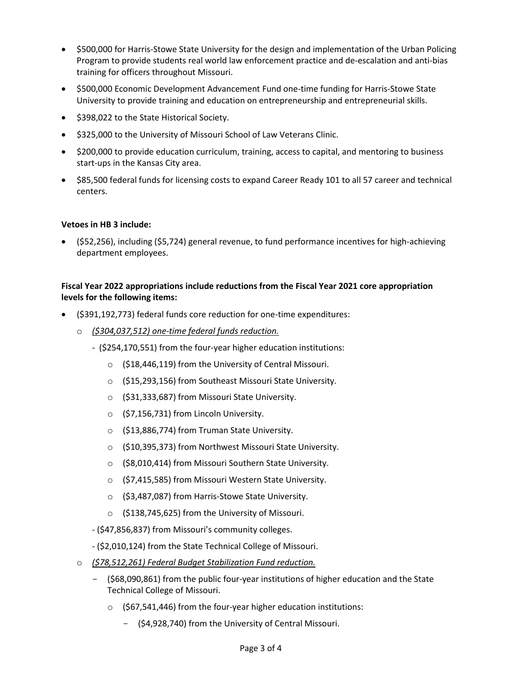- \$500,000 for Harris-Stowe State University for the design and implementation of the Urban Policing Program to provide students real world law enforcement practice and de-escalation and anti-bias training for officers throughout Missouri.
- \$500,000 Economic Development Advancement Fund one-time funding for Harris-Stowe State University to provide training and education on entrepreneurship and entrepreneurial skills.
- \$398,022 to the State Historical Society.
- \$325,000 to the University of Missouri School of Law Veterans Clinic.
- \$200,000 to provide education curriculum, training, access to capital, and mentoring to business start-ups in the Kansas City area.
- \$85,500 federal funds for licensing costs to expand Career Ready 101 to all 57 career and technical centers.

## **Vetoes in HB 3 include:**

• (\$52,256), including (\$5,724) general revenue, to fund performance incentives for high-achieving department employees.

## **Fiscal Year 2022 appropriations include reductions from the Fiscal Year 2021 core appropriation levels for the following items:**

- (\$391,192,773) federal funds core reduction for one-time expenditures:
	- o *(\$304,037,512) one-time federal funds reduction.*
		- (\$254,170,551) from the four-year higher education institutions:
			- o (\$18,446,119) from the University of Central Missouri.
			- o (\$15,293,156) from Southeast Missouri State University.
			- o (\$31,333,687) from Missouri State University.
			- o (\$7,156,731) from Lincoln University.
			- o (\$13,886,774) from Truman State University.
			- o (\$10,395,373) from Northwest Missouri State University.
			- o (\$8,010,414) from Missouri Southern State University.
			- o (\$7,415,585) from Missouri Western State University.
			- o (\$3,487,087) from Harris-Stowe State University.
			- o (\$138,745,625) from the University of Missouri.
		- (\$47,856,837) from Missouri's community colleges.
		- (\$2,010,124) from the State Technical College of Missouri.
	- o *(\$78,512,261) Federal Budget Stabilization Fund reduction.*
		- (\$68,090,861) from the public four-year institutions of higher education and the State Technical College of Missouri.
			- $\circ$  (\$67,541,446) from the four-year higher education institutions:
				- (\$4,928,740) from the University of Central Missouri.